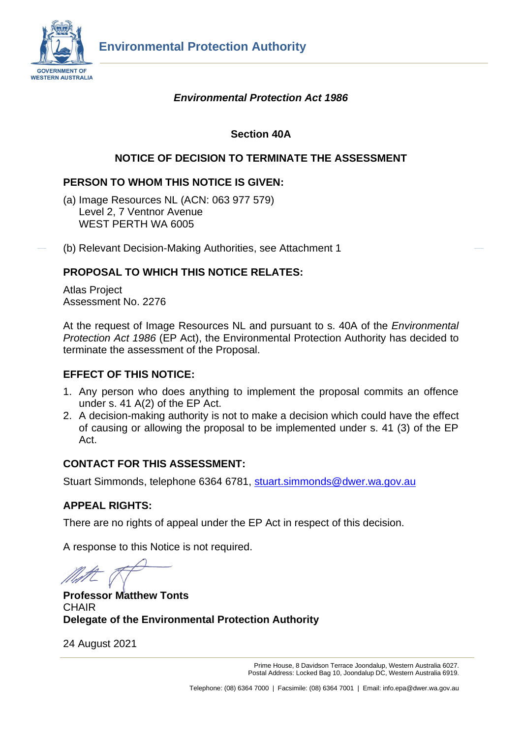

# *Environmental Protection Act 1986*

# **Section 40A**

# **NOTICE OF DECISION TO TERMINATE THE ASSESSMENT**

## **PERSON TO WHOM THIS NOTICE IS GIVEN:**

- (a) Image Resources NL (ACN: 063 977 579) Level 2, 7 Ventnor Avenue WEST PERTH WA 6005
- (b) Relevant Decision-Making Authorities, see Attachment 1

## **PROPOSAL TO WHICH THIS NOTICE RELATES:**

Atlas Project Assessment No. 2276

At the request of Image Resources NL and pursuant to s. 40A of the *Environmental Protection Act 1986* (EP Act), the Environmental Protection Authority has decided to terminate the assessment of the Proposal.

#### **EFFECT OF THIS NOTICE:**

- 1. Any person who does anything to implement the proposal commits an offence under s. 41 A(2) of the EP Act.
- 2. A decision-making authority is not to make a decision which could have the effect of causing or allowing the proposal to be implemented under s. 41 (3) of the EP Act.

#### **CONTACT FOR THIS ASSESSMENT:**

Stuart Simmonds, telephone 6364 6781, [stuart.simmonds@dwer.wa.gov.au](mailto:stuart.simmonds@dwer.wa.gov.au)

#### **APPEAL RIGHTS:**

There are no rights of appeal under the EP Act in respect of this decision.

A response to this Notice is not required.

**Professor Matthew Tonts CHAIR Delegate of the Environmental Protection Authority**

24 August 2021

Prime House, 8 Davidson Terrace Joondalup, Western Australia 6027. Postal Address: Locked Bag 10, Joondalup DC, Western Australia 6919.